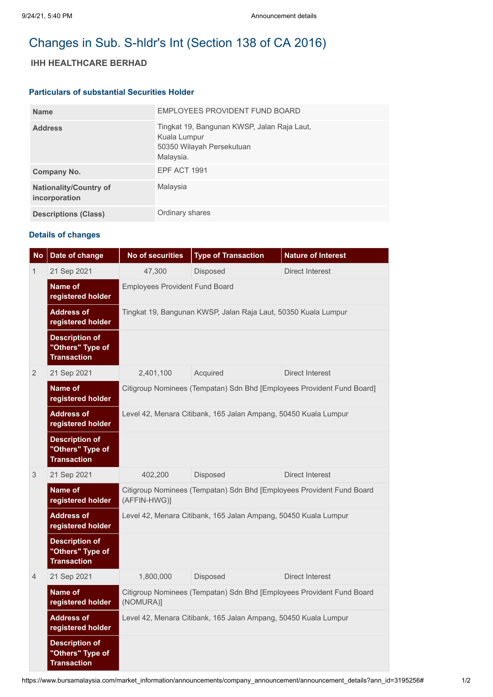# Changes in Sub. S-hldr's Int (Section 138 of CA 2016)

## **IHH HEALTHCARE BERHAD**

### **Particulars of substantial Securities Holder**

| <b>Name</b>                                    | EMPLOYEES PROVIDENT FUND BOARD                                                                        |
|------------------------------------------------|-------------------------------------------------------------------------------------------------------|
| <b>Address</b>                                 | Tingkat 19, Bangunan KWSP, Jalan Raja Laut,<br>Kuala Lumpur<br>50350 Wilayah Persekutuan<br>Malaysia. |
| Company No.                                    | <b>EPF ACT 1991</b>                                                                                   |
| <b>Nationality/Country of</b><br>incorporation | Malaysia                                                                                              |
| <b>Descriptions (Class)</b>                    | Ordinary shares                                                                                       |

# **Details of changes**

| <b>No</b>      | Date of change                                                  | <b>No of securities</b>                                                               | <b>Type of Transaction</b> | <b>Nature of Interest</b>                                              |  |  |
|----------------|-----------------------------------------------------------------|---------------------------------------------------------------------------------------|----------------------------|------------------------------------------------------------------------|--|--|
| 1              | 21 Sep 2021                                                     | 47,300                                                                                | Disposed                   | <b>Direct Interest</b>                                                 |  |  |
|                | Name of<br>registered holder                                    | <b>Employees Provident Fund Board</b>                                                 |                            |                                                                        |  |  |
|                | <b>Address of</b><br>registered holder                          | Tingkat 19, Bangunan KWSP, Jalan Raja Laut, 50350 Kuala Lumpur                        |                            |                                                                        |  |  |
|                | <b>Description of</b><br>"Others" Type of<br><b>Transaction</b> |                                                                                       |                            |                                                                        |  |  |
| $\overline{2}$ | 21 Sep 2021                                                     | 2,401,100                                                                             | Acquired                   | <b>Direct Interest</b>                                                 |  |  |
|                | Name of<br>registered holder                                    |                                                                                       |                            | Citigroup Nominees (Tempatan) Sdn Bhd [Employees Provident Fund Board] |  |  |
|                | <b>Address of</b><br>registered holder                          | Level 42, Menara Citibank, 165 Jalan Ampang, 50450 Kuala Lumpur                       |                            |                                                                        |  |  |
|                | <b>Description of</b><br>"Others" Type of<br><b>Transaction</b> |                                                                                       |                            |                                                                        |  |  |
| 3              | 21 Sep 2021                                                     | 402,200                                                                               | Disposed                   | <b>Direct Interest</b>                                                 |  |  |
|                | Name of<br>registered holder                                    | Citigroup Nominees (Tempatan) Sdn Bhd [Employees Provident Fund Board<br>(AFFIN-HWG)] |                            |                                                                        |  |  |
|                | <b>Address of</b><br>registered holder                          | Level 42, Menara Citibank, 165 Jalan Ampang, 50450 Kuala Lumpur                       |                            |                                                                        |  |  |
|                | <b>Description of</b><br>"Others" Type of<br><b>Transaction</b> |                                                                                       |                            |                                                                        |  |  |
| $\overline{4}$ | 21 Sep 2021                                                     | 1,800,000                                                                             | Disposed                   | <b>Direct Interest</b>                                                 |  |  |
|                | Name of<br>registered holder                                    | Citigroup Nominees (Tempatan) Sdn Bhd [Employees Provident Fund Board<br>(NOMURA)]    |                            |                                                                        |  |  |
|                | <b>Address of</b><br>registered holder                          | Level 42, Menara Citibank, 165 Jalan Ampang, 50450 Kuala Lumpur                       |                            |                                                                        |  |  |
|                | <b>Description of</b><br>"Others" Type of<br><b>Transaction</b> |                                                                                       |                            |                                                                        |  |  |